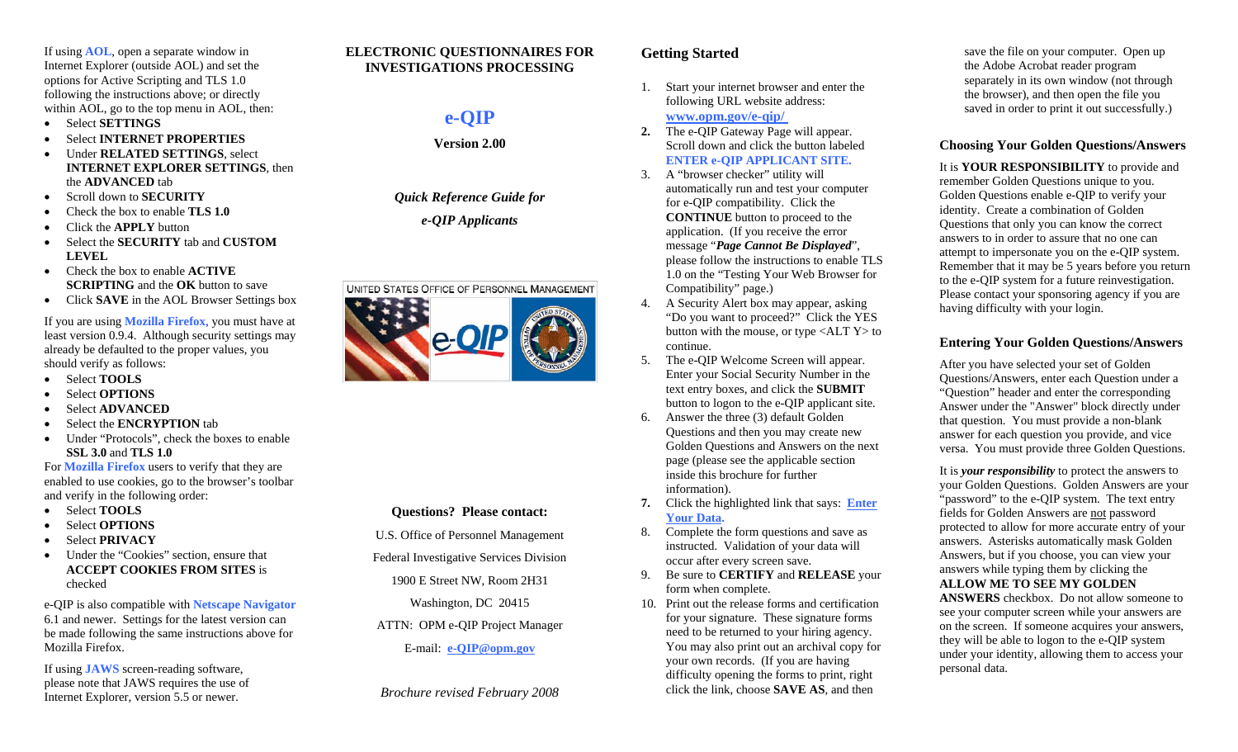If using **AOL**, open a separate window in Internet Explorer (outside AOL) and set the options for Active Scripting and TLS 1.0 following the instructions above; or directly within AOL, go to the top menu in AOL, then:

- •Select **SETTINGS**
- •Select **INTERNET PROPERTIES**
- • Under **RELATED SETTINGS**, select **INTERNET EXPLORER SETTINGS**, then the **ADVANCED** tab
- •Scroll down to **SECURITY**
- •Check the box to enable **TLS 1.0**
- •Click the **APPLY** button
- • Select the **SECURITY** tab and **CUSTOM LEVEL**
- • Check the box to enable **ACTIVE SCRIPTING** and the **OK** button to save
- •Click **SAVE** in the AOL Browser Settings box

If you are using **Mozilla Firefox**, you must have at least version 0.9.4. Although security settings may already be defaulted to the proper values, you should verify as follows:

- •Select **TOOLS**
- •Select **OPTIONS**
- •Select **ADVANCED**
- •Select the **ENCRYPTION** tab
- • Under "Protocols", check the boxes to enable **SSL 3.0** and **TLS 1.0**

For **Mozilla Firefox** users to verify that they are enabled to use cookies, go to the browser's toolbar and verify in the following order:

- •Select **TOOLS**
- •Select **OPTIONS**
- •Select **PRIVACY**
- • Under the "Cookies" section, ensure that **ACCEPT COOKIES FROM SITES** is checked

e-QIP is also compatible with **Netscape Navigator** 6.1 and newer. Settings for the latest version can be made following the same instructions above for Mozilla Firefox.

If using **JAWS** screen-reading software, please note that JAWS requires the use of Internet Explorer, version 5.5 or newer.

## **ELECTRONIC QUESTIONNAIRES FOR INVESTIGATIONS PROCESSING**

# **<sup>e</sup>***-***QIP**

**Version 2.00** 

*Quick Reference Guide for e-QIP Applicants* 



# **Questions? Please contact:**

U.S. Office of Personnel Management

Federal Investigative Services Division

1900 E Street NW, Room 2H31

Washington, DC 20415

ATTN: OPM e-QIP Project Manager

E-mail: **e-QIP@opm.gov**

*Brochure revised February 2008* 

# **Getting Started**

- 1. Start your internet browser and enter the following URL website address: **www.opm.gov/e-qip/**
- **2.** The e-QIP Gateway Page will appear. Scroll down and click the button labeled **ENTER e-QIP APPLICANT SITE.**
- 3. A "browser checker" utility will automatically run and test your computer for e-QIP compatibility. Click the **CONTINUE** button to proceed to the application. (If you receive the error message "*Page Cannot Be Displayed*", please follow the instructions to enable TLS 1.0 on the "Testing Your Web Browser for Compatibility" page.)
- 4. A Security Alert box ma y appear, asking "Do you want to proceed?" Click the YES button with the mouse, or type <ALT Y> to continue.
- 5. The e-QIP Welcome Screen will appear. Enter your Social Security Number in the text entry boxes, and click the **SUBMIT**  button to logon to the e-QIP applicant site.
- 6. Answer the three (3) default Golden Questions and then you may create ne w Golden Questions and Answers on the ne xt page (please see the applicable section inside this brochure for further information).
- **7.** Click the highlighted link that says: **Enter Your Data.**
- 8. Complete the form questions and save as instructed. Validation of your data will occur after every screen save.
- **Be sure to CERTIFY and RELEASE** your form when complete. 9.
- 10. Print out the release forms and certification for your signature. These signature forms need to be returned to your hiring agency. You may also print out an archival copy for your own records. (If you are having difficulty opening the forms to print, ri ght click the link, choose **SAVE AS**, and then

save the file on your computer. Open up the Adobe Acrobat reader program separately in its own window (not through the browser), and then open the file you saved in order to print it out successfully.)

# **Choosing Your Golden Questions/Answers**

It is **YOUR RESPONSIBILITY** to provide and remember Golden Questions unique to you. Golden Questions enable e*-*QIP to verify your identity. Create a combination of Golden Questions that only you can know the correct answers to in order to assure that no one can attempt to impersonate you on the e-QIP system. Remember that it may be 5 years before you return to the e-QIP system for a future reinvestigation. Please contact your sponsoring agency if you are having difficulty with your login.

# **Entering Your Golden Questions/Answers**

After you have selected your set of Golden Questions/Answers, enter each Question under a "Question" header and enter the corresponding Answer under the "Answer" block directly under that question. You must provide a non-blank answer for each question you provide, and vice versa. You must provide three Golden Questions.

It is *your responsibility* to protect the ans wers to your Golden Questions. Golden Answers are your "password" to the e-QIP system. The text entry fields for Golden Answers are not password protected to allow for more accurate entry of your answers. Asterisks automatically mask Golden Answers, but if you choose, you can view your answers while typing them by clicking the **ALLOW ME TO SEE MY GOLDEN** 

**ANSWERS** checkbox. Do not allow someone to see your computer screen while your answers are on the screen. If someone acquires your answers, they will be able to logon to the e-QIP system under your identity, allowing them to access your personal data.